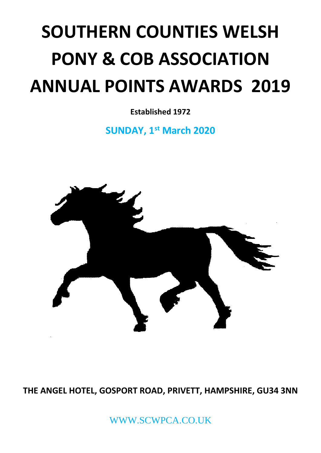# **SOUTHERN COUNTIES WELSH PONY & COB ASSOCIATION ANNUAL POINTS AWARDS 2019**

**Established 1972**

**SUNDAY, 1 st March 2020**



**THE ANGEL HOTEL, GOSPORT ROAD, PRIVETT, HAMPSHIRE, GU34 3NN**

WWW.SCWPCA.CO.UK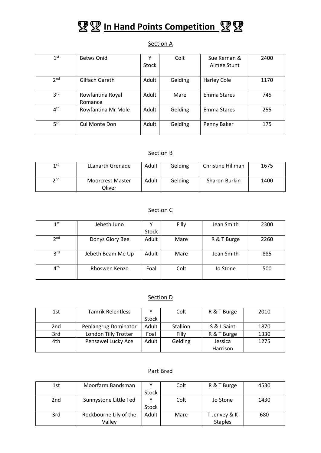# *P P* **In Hand Points Competition** *P* **P**

#### Section A

| 1 <sup>st</sup> | <b>Betws Onid</b>           | v<br>Stock | Colt    | Sue Kernan &<br>Aimee Stunt | 2400 |
|-----------------|-----------------------------|------------|---------|-----------------------------|------|
| 2 <sup>nd</sup> | Gilfach Gareth              | Adult      | Gelding | <b>Harley Cole</b>          | 1170 |
| 3 <sup>rd</sup> | Rowfantina Royal<br>Romance | Adult      | Mare    | Emma Stares                 | 745  |
| 4 <sup>th</sup> | Rowfantina Mr Mole          | Adult      | Gelding | Emma Stares                 | 255  |
| 5 <sup>th</sup> | Cui Monte Don               | Adult      | Gelding | Penny Baker                 | 175  |

### Section B

| 1st  | LLanarth Grenade                  | Adult | <b>Gelding</b> | Christine Hillman | 1675 |
|------|-----------------------------------|-------|----------------|-------------------|------|
| ን nd | <b>Moorcrest Master</b><br>Oliver | Adult | <b>Gelding</b> | Sharon Burkin     | 1400 |

## Section C

| $1^{\rm st}$    | Jebeth Juno       |       | Filly | Jean Smith  | 2300 |
|-----------------|-------------------|-------|-------|-------------|------|
|                 |                   | Stock |       |             |      |
| 2 <sub>nd</sub> | Donys Glory Bee   | Adult | Mare  | R & T Burge | 2260 |
|                 |                   |       |       |             |      |
| 3 <sup>rd</sup> | Jebeth Beam Me Up | Adult | Mare  | Jean Smith  | 885  |
|                 |                   |       |       |             |      |
| 4 <sup>th</sup> | Rhoswen Kenzo     | Foal  | Colt  | Jo Stone    | 500  |
|                 |                   |       |       |             |      |

#### Section D

| 1st             | <b>Tamrik Relentless</b> |       | Colt     | R & T Burge | 2010 |
|-----------------|--------------------------|-------|----------|-------------|------|
|                 |                          | Stock |          |             |      |
| 2 <sub>nd</sub> | Penlangrug Dominator     | Adult | Stallion | S & L Saint | 1870 |
| 3rd             | London Tilly Trotter     | Foal  | Filly    | R & T Burge | 1330 |
| 4th             | Pensawel Lucky Ace       | Adult | Gelding  | Jessica     | 1275 |
|                 |                          |       |          | Harrison    |      |

## Part Bred

| 1st             | Moorfarm Bandsman      |       | Colt | R & T Burge    | 4530 |
|-----------------|------------------------|-------|------|----------------|------|
|                 |                        | Stock |      |                |      |
| 2 <sub>nd</sub> | Sunnystone Little Ted  |       | Colt | Jo Stone       | 1430 |
|                 |                        | Stock |      |                |      |
| 3rd             | Rockbourne Lily of the | Adult | Mare | T Jenvey & K   | 680  |
|                 | Valley                 |       |      | <b>Staples</b> |      |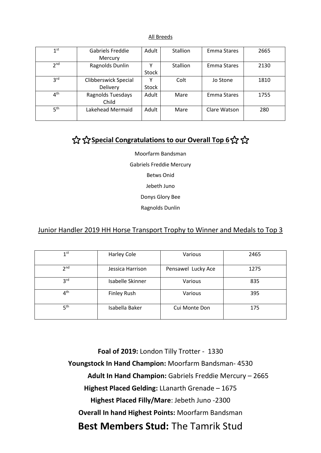#### All Breeds

| 1 <sup>st</sup> | Gabriels Freddie            | Adult | <b>Stallion</b> | Emma Stares  | 2665 |
|-----------------|-----------------------------|-------|-----------------|--------------|------|
|                 | Mercury                     |       |                 |              |      |
| 2 <sup>nd</sup> | Ragnolds Dunlin             |       | <b>Stallion</b> | Emma Stares  | 2130 |
|                 |                             | Stock |                 |              |      |
| 3 <sup>rd</sup> | <b>Clibberswick Special</b> |       | Colt            | Jo Stone     | 1810 |
|                 | Delivery                    | Stock |                 |              |      |
| 4 <sup>th</sup> | <b>Ragnolds Tuesdays</b>    | Adult | Mare            | Emma Stares  | 1755 |
|                 | Child                       |       |                 |              |      |
| 5 <sup>th</sup> | Lakehead Mermaid            | Adult | Mare            | Clare Watson | 280  |
|                 |                             |       |                 |              |      |

## **☆ ☆ Special Congratulations to our Overall Top 6 ☆ ☆**

Moorfarm Bandsman Gabriels Freddie Mercury Betws Onid Jebeth Juno Donys Glory Bee

## Junior Handler 2019 HH Horse Transport Trophy to Winner and Medals to Top 3

Ragnolds Dunlin

| 1 <sup>st</sup> | <b>Harley Cole</b> | Various            | 2465 |
|-----------------|--------------------|--------------------|------|
| 2 <sub>nd</sub> | Jessica Harrison   | Pensawel Lucky Ace | 1275 |
| 3 <sup>rd</sup> | Isabelle Skinner   | Various            | 835  |
| $4^{\text{th}}$ | <b>Finley Rush</b> | Various            | 395  |
| 5 <sup>th</sup> | Isabella Baker     | Cui Monte Don      | 175  |

**Foal of 2019:** London Tilly Trotter - 1330 **Youngstock In Hand Champion:** Moorfarm Bandsman- 4530 **Adult In Hand Champion:** Gabriels Freddie Mercury – 2665 **Highest Placed Gelding:** LLanarth Grenade – 1675 **Highest Placed Filly/Mare**: Jebeth Juno -2300 **Overall In hand Highest Points:** Moorfarm Bandsman **Best Members Stud:** The Tamrik Stud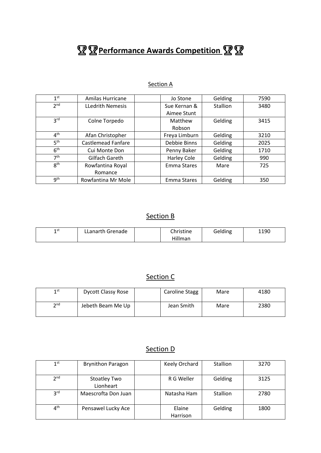## **PP** Performance Awards Competition **PP**

## Section A

| 1 <sup>st</sup> | Amilas Hurricane          | Jo Stone      | Gelding  | 7590 |
|-----------------|---------------------------|---------------|----------|------|
| 2 <sub>nd</sub> | <b>LLedrith Nemesis</b>   | Sue Kernan &  | Stallion | 3480 |
|                 |                           | Aimee Stunt   |          |      |
| 3 <sup>rd</sup> | Colne Torpedo             | Matthew       | Gelding  | 3415 |
|                 |                           | Robson        |          |      |
| $4^{\text{th}}$ | Afan Christopher          | Freya Limburn | Gelding  | 3210 |
| 5 <sup>th</sup> | <b>Castlemead Fanfare</b> | Debbie Binns  | Gelding  | 2025 |
| 6 <sup>th</sup> | Cui Monte Don             | Penny Baker   | Gelding  | 1710 |
| 7 <sup>th</sup> | Gilfach Gareth            | Harley Cole   | Gelding  | 990  |
| 8 <sup>th</sup> | Rowfantina Royal          | Emma Stares   | Mare     | 725  |
|                 | Romance                   |               |          |      |
| 9 <sup>th</sup> | Rowfantina Mr Mole        | Emma Stares   | Gelding  | 350  |

## Section B

| 1 st | LLanarth Grenade | ົ <sup>1</sup> ristine | Gelding | 1190 |
|------|------------------|------------------------|---------|------|
|      |                  | Hillman                |         |      |

## Section C

| 1st | <b>Dycott Classy Rose</b> | <b>Caroline Stagg</b> | Mare | 4180 |
|-----|---------------------------|-----------------------|------|------|
|     | Jebeth Beam Me Up         | Jean Smith            | Mare | 2380 |

## Section D

| 1 <sup>st</sup> | <b>Brynithon Paragon</b>         | Keely Orchard      | Stallion | 3270 |
|-----------------|----------------------------------|--------------------|----------|------|
| 2 <sup>nd</sup> | <b>Stoatley Two</b><br>Lionheart | R G Weller         | Gelding  | 3125 |
| 3 <sup>rd</sup> | Maescrofta Don Juan              | Natasha Ham        | Stallion | 2780 |
| 4 <sup>th</sup> | Pensawel Lucky Ace               | Elaine<br>Harrison | Gelding  | 1800 |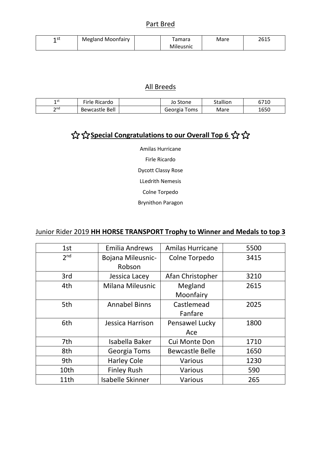## Part Bred

| 1 st | Megland Moonfairy | <sup>-</sup> amara | Mare | 2615 |
|------|-------------------|--------------------|------|------|
|      |                   | Mileusnic          |      |      |

## All Breeds

| 1 st             | $- \cdot$ .<br>Ricardo<br>·irle- | Stone<br>JO    | Stallion | 6710 |
|------------------|----------------------------------|----------------|----------|------|
| $\mathcal{D}$ nd | <b>Bewcastle Bell</b>            | Georgia<br>oms | Mare     | 1650 |

## **☆ ☆ Special Congratulations to our Overall Top 6 ☆ ☆**

Amilas Hurricane

Firle Ricardo

Dycott Classy Rose

LLedrith Nemesis

Colne Torpedo

Brynithon Paragon

## Junior Rider 2019 **HH HORSE TRANSPORT Trophy to Winner and Medals to top 3**

| 1st             | <b>Emilia Andrews</b>    | Amilas Hurricane       | 5500 |
|-----------------|--------------------------|------------------------|------|
| 2 <sub>nd</sub> | <b>Bojana Mileusnic-</b> | Colne Torpedo          | 3415 |
|                 | Robson                   |                        |      |
| 3rd             | Jessica Lacey            | Afan Christopher       | 3210 |
| 4th             | Milana Mileusnic         | Megland                | 2615 |
|                 |                          | Moonfairy              |      |
| 5th             | <b>Annabel Binns</b>     | Castlemead             | 2025 |
|                 |                          | Fanfare                |      |
| 6th             | Jessica Harrison         | Pensawel Lucky         | 1800 |
|                 |                          | Ace                    |      |
| 7th             | Isabella Baker           | Cui Monte Don          | 1710 |
| 8th             | Georgia Toms             | <b>Bewcastle Belle</b> | 1650 |
| 9th             | <b>Harley Cole</b>       | Various                | 1230 |
| 10th            | <b>Finley Rush</b>       | Various                | 590  |
| 11th            | <b>Isabelle Skinner</b>  | Various                | 265  |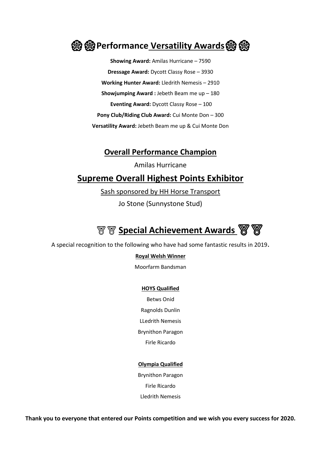

**Showing Award:** Amilas Hurricane – 7590 **Dressage Award:** Dycott Classy Rose – 3930 **Working Hunter Award:** Lledrith Nemesis – 2910 **Showjumping Award :** Jebeth Beam me up – 180 **Eventing Award:** Dycott Classy Rose – 100 **Pony Club/Riding Club Award:** Cui Monte Don – 300 **Versatility Award:** Jebeth Beam me up & Cui Monte Don

## **Overall Performance Champion**

Amilas Hurricane

## **Supreme Overall Highest Points Exhibitor**

Sash sponsored by HH Horse Transport

Jo Stone (Sunnystone Stud)



A special recognition to the following who have had some fantastic results in 2019.

#### **Royal Welsh Winner**

Moorfarm Bandsman

#### **HOYS Qualified**

Betws Onid

Ragnolds Dunlin

LLedrith Nemesis

Brynithon Paragon

Firle Ricardo

#### **Olympia Qualified**

Brynithon Paragon

Firle Ricardo

Lledrith Nemesis

**Thank you to everyone that entered our Points competition and we wish you every success for 2020.**